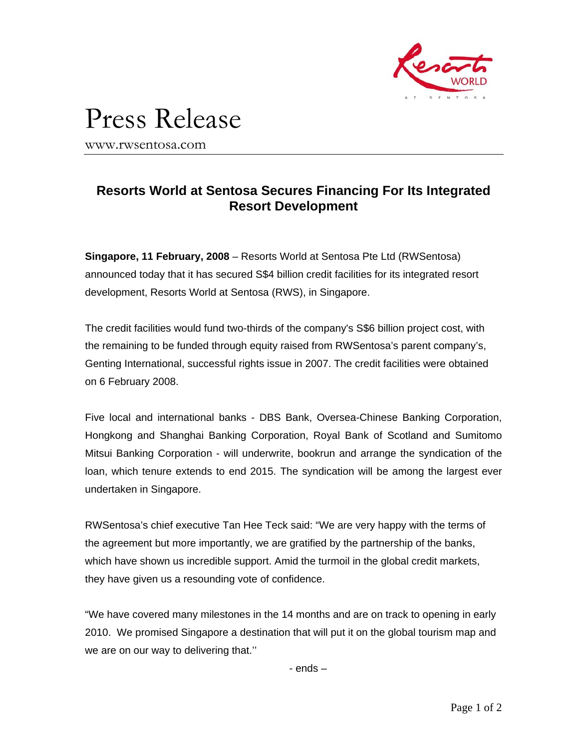

## Press Release

www.rwsentosa.com

## **Resorts World at Sentosa Secures Financing For Its Integrated Resort Development**

**Singapore, 11 February, 2008** – Resorts World at Sentosa Pte Ltd (RWSentosa) announced today that it has secured S\$4 billion credit facilities for its integrated resort development, Resorts World at Sentosa (RWS), in Singapore.

The credit facilities would fund two-thirds of the company's S\$6 billion project cost, with the remaining to be funded through equity raised from RWSentosa's parent company's, Genting International, successful rights issue in 2007. The credit facilities were obtained on 6 February 2008.

Five local and international banks - DBS Bank, Oversea-Chinese Banking Corporation, Hongkong and Shanghai Banking Corporation, Royal Bank of Scotland and Sumitomo Mitsui Banking Corporation - will underwrite, bookrun and arrange the syndication of the loan, which tenure extends to end 2015. The syndication will be among the largest ever undertaken in Singapore.

RWSentosa's chief executive Tan Hee Teck said: "We are very happy with the terms of the agreement but more importantly, we are gratified by the partnership of the banks, which have shown us incredible support. Amid the turmoil in the global credit markets, they have given us a resounding vote of confidence.

"We have covered many milestones in the 14 months and are on track to opening in early 2010. We promised Singapore a destination that will put it on the global tourism map and we are on our way to delivering that.''

- ends –